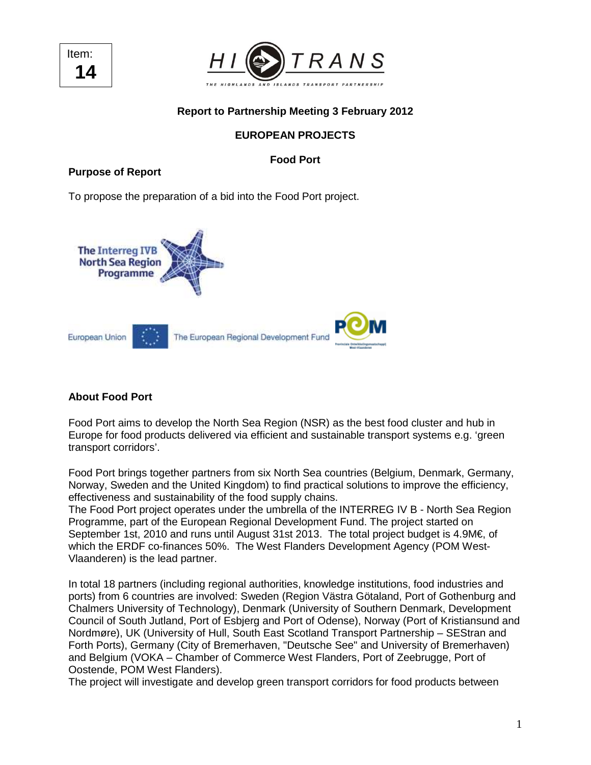



## **Report to Partnership Meeting 3 February 2012**

# **EUROPEAN PROJECTS**

## **Food Port**

#### **Purpose of Report**

To propose the preparation of a bid into the Food Port project.



#### **About Food Port**

Food Port aims to develop the North Sea Region (NSR) as the best food cluster and hub in Europe for food products delivered via efficient and sustainable transport systems e.g. 'green transport corridors'.

Food Port brings together partners from six North Sea countries (Belgium, Denmark, Germany, Norway, Sweden and the United Kingdom) to find practical solutions to improve the efficiency, effectiveness and sustainability of the food supply chains.

The Food Port project operates under the umbrella of the INTERREG IV B - North Sea Region Programme, part of the European Regional Development Fund. The project started on September 1st, 2010 and runs until August 31st 2013. The total project budget is 4.9M€, of which the ERDF co-finances 50%. The West Flanders Development Agency (POM West-Vlaanderen) is the lead partner.

In total 18 partners (including regional authorities, knowledge institutions, food industries and ports) from 6 countries are involved: Sweden (Region Västra Götaland, Port of Gothenburg and Chalmers University of Technology), Denmark (University of Southern Denmark, Development Council of South Jutland, Port of Esbjerg and Port of Odense), Norway (Port of Kristiansund and Nordmøre), UK (University of Hull, South East Scotland Transport Partnership – SEStran and Forth Ports), Germany (City of Bremerhaven, "Deutsche See" and University of Bremerhaven) and Belgium (VOKA – Chamber of Commerce West Flanders, Port of Zeebrugge, Port of Oostende, POM West Flanders).

The project will investigate and develop green transport corridors for food products between